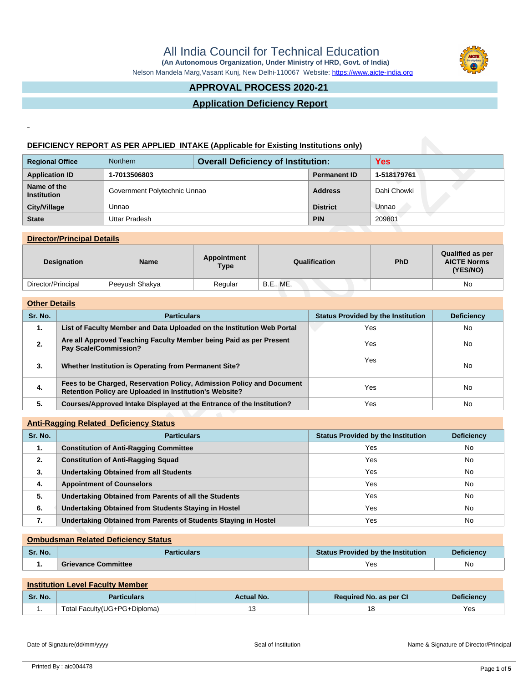All India Council for Technical Education  **(An Autonomous Organization, Under Ministry of HRD, Govt. of India)**



Nelson Mandela Marg,Vasant Kunj, New Delhi-110067 Website:<https://www.aicte-india.org>

## **APPROVAL PROCESS 2020-21**

## **Application Deficiency Report**

## **DEFICIENCY REPORT AS PER APPLIED INTAKE (Applicable for Existing Institutions only)**

| <b>Regional Office</b>            | <b>Overall Deficiency of Institution:</b><br><b>Northern</b> |  |                     | <b>Yes</b>  |
|-----------------------------------|--------------------------------------------------------------|--|---------------------|-------------|
| <b>Application ID</b>             | 1-7013506803                                                 |  | <b>Permanent ID</b> | 1-518179761 |
| Name of the<br><b>Institution</b> | Government Polytechnic Unnao                                 |  | <b>Address</b>      | Dahi Chowki |
| City/Village                      | Unnao                                                        |  | <b>District</b>     | Unnao       |
| <b>State</b>                      | Uttar Pradesh                                                |  | <b>PIN</b>          | 209801      |

### **Director/Principal Details**

| <b>Designation</b> | <b>Name</b>    | Appointment<br><b>Type</b> | Qualification | <b>PhD</b> | <b>Qualified as per</b><br><b>AICTE Norms</b><br>(YES/NO) |
|--------------------|----------------|----------------------------|---------------|------------|-----------------------------------------------------------|
| Director/Principal | Peeyush Shakya | Regular                    | B.E., ME,     |            | No                                                        |

### **Other Details**

| <b>DEFICIENCY REPORT AS PER APPLIED INTAKE (Applicable for Existing Institutions only)</b> |                                                                                             |                                                                                                                                  |                                           |                  |                     |                                           |                                                           |
|--------------------------------------------------------------------------------------------|---------------------------------------------------------------------------------------------|----------------------------------------------------------------------------------------------------------------------------------|-------------------------------------------|------------------|---------------------|-------------------------------------------|-----------------------------------------------------------|
| <b>Regional Office</b>                                                                     |                                                                                             | Northern                                                                                                                         | <b>Overall Deficiency of Institution:</b> |                  |                     | <b>Yes</b>                                |                                                           |
| <b>Application ID</b>                                                                      |                                                                                             | 1-7013506803                                                                                                                     |                                           |                  | <b>Permanent ID</b> | 1-518179761                               |                                                           |
| Name of the<br><b>Institution</b>                                                          |                                                                                             | Government Polytechnic Unnao                                                                                                     |                                           | <b>Address</b>   | Dahi Chowki         |                                           |                                                           |
| <b>City/Village</b>                                                                        |                                                                                             | Unnao                                                                                                                            |                                           |                  | <b>District</b>     | Unnao                                     |                                                           |
| <b>State</b>                                                                               |                                                                                             | <b>Uttar Pradesh</b>                                                                                                             |                                           |                  | <b>PIN</b>          | 209801                                    |                                                           |
|                                                                                            | <b>Director/Principal Details</b>                                                           |                                                                                                                                  |                                           |                  |                     |                                           |                                                           |
|                                                                                            | <b>Designation</b>                                                                          | <b>Name</b>                                                                                                                      | <b>Appointment</b><br><b>Type</b>         |                  | Qualification       | PhD                                       | <b>Qualified as per</b><br><b>AICTE Norms</b><br>(YES/NO) |
| Director/Principal                                                                         |                                                                                             | Peeyush Shakya                                                                                                                   | Regular                                   | <b>B.E., ME,</b> |                     |                                           | <b>No</b>                                                 |
| <b>Other Details</b>                                                                       |                                                                                             |                                                                                                                                  |                                           |                  |                     |                                           |                                                           |
| Sr. No.                                                                                    |                                                                                             | <b>Particulars</b>                                                                                                               |                                           |                  |                     | <b>Status Provided by the Institution</b> | <b>Deficiency</b>                                         |
| $\mathbf{1}$ .                                                                             |                                                                                             | List of Faculty Member and Data Uploaded on the Institution Web Portal                                                           |                                           | Yes              |                     | No                                        |                                                           |
| 2.                                                                                         | Are all Approved Teaching Faculty Member being Paid as per Present<br>Pay Scale/Commission? |                                                                                                                                  |                                           |                  | Yes                 |                                           | No                                                        |
| 3.                                                                                         | Whether Institution is Operating from Permanent Site?                                       |                                                                                                                                  |                                           |                  | Yes                 |                                           | No                                                        |
| 4.                                                                                         |                                                                                             | Fees to be Charged, Reservation Policy, Admission Policy and Document<br>Retention Policy are Uploaded in Institution's Website? |                                           |                  | Yes                 |                                           | No                                                        |
| 5.                                                                                         |                                                                                             | Courses/Approved Intake Displayed at the Entrance of the Institution?                                                            |                                           |                  | Yes                 |                                           | No                                                        |
|                                                                                            |                                                                                             |                                                                                                                                  |                                           |                  |                     |                                           |                                                           |
| Sr. No.                                                                                    |                                                                                             | <b>Anti-Ragging Related Deficiency Status</b><br><b>Particulars</b>                                                              |                                           |                  |                     | <b>Status Provided by the Institution</b> | <b>Deficiency</b>                                         |
| 1.                                                                                         |                                                                                             | <b>Constitution of Anti-Ragging Committee</b>                                                                                    |                                           |                  |                     | Yes                                       | <b>No</b>                                                 |
| 2.                                                                                         |                                                                                             | <b>Constitution of Anti-Ragging Squad</b>                                                                                        |                                           |                  | Yes                 |                                           | No.                                                       |
| 3.                                                                                         | <b>Undertaking Obtained from all Students</b>                                               |                                                                                                                                  |                                           | Yes              |                     | No                                        |                                                           |
| 4.                                                                                         | <b>Appointment of Counselors</b>                                                            |                                                                                                                                  |                                           |                  | Yes                 |                                           | <b>No</b>                                                 |
| 5.                                                                                         |                                                                                             | Undertaking Obtained from Parents of all the Students                                                                            |                                           |                  |                     | Yes                                       | <b>No</b>                                                 |
| 6.                                                                                         | <b>Undertaking Obtained from Students Staying in Hostel</b>                                 |                                                                                                                                  |                                           |                  |                     | Yes                                       | No.                                                       |
| 7.                                                                                         |                                                                                             | Undertaking Obtained from Parents of Students Staying in Hostel                                                                  |                                           |                  |                     | Yes                                       | No.                                                       |
|                                                                                            |                                                                                             | <b>Ombudsman Related Deficiency Status</b>                                                                                       |                                           |                  |                     |                                           |                                                           |
|                                                                                            |                                                                                             |                                                                                                                                  |                                           |                  |                     |                                           |                                                           |

## **Anti-Ragging Related Deficiency Status**

| Sr. No. | <b>Particulars</b>                                              | <b>Status Provided by the Institution</b> | <b>Deficiency</b> |  |
|---------|-----------------------------------------------------------------|-------------------------------------------|-------------------|--|
| 1.      | <b>Constitution of Anti-Ragging Committee</b>                   | Yes                                       | No.               |  |
| 2.      | <b>Constitution of Anti-Ragging Squad</b>                       | Yes                                       | No                |  |
| 3.      | <b>Undertaking Obtained from all Students</b>                   | Yes                                       | No.               |  |
| 4.      | <b>Appointment of Counselors</b>                                | Yes                                       | No                |  |
| 5.      | Undertaking Obtained from Parents of all the Students           | Yes                                       | No.               |  |
| 6.      | Undertaking Obtained from Students Staying in Hostel            | Yes                                       | No.               |  |
| 7.      | Undertaking Obtained from Parents of Students Staying in Hostel | Yes                                       | No.               |  |

#### **Ombudsman Related Deficiency Status**

| Sr. No. | <b>Particulars</b>         | <b>Status Provided by the Institution</b> | Deficiencv |
|---------|----------------------------|-------------------------------------------|------------|
| . .     | <b>Grievance Committee</b> | Yes                                       | No         |

## **Institution Level Faculty Member**

| Sr. No. | articulars                    | <b>Actual No.</b> | Required No. as per Cl | <b>Deficiency</b> |
|---------|-------------------------------|-------------------|------------------------|-------------------|
|         | Total Faculty (UG+PG+Diploma) |                   | . ب                    | Yes               |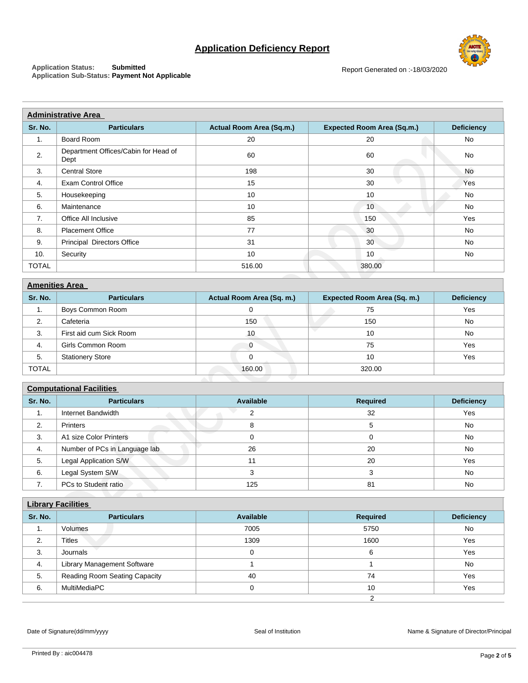# **Application Deficiency Report**



**Application Status: Submitted Application Sub-Status: Payment Not Applicable**

| <b>Administrative Area</b> |                                              |                           |                                   |                   |  |  |
|----------------------------|----------------------------------------------|---------------------------|-----------------------------------|-------------------|--|--|
| Sr. No.                    | <b>Particulars</b>                           | Actual Room Area (Sq.m.)  | <b>Expected Room Area (Sq.m.)</b> | <b>Deficiency</b> |  |  |
| $\mathbf{1}$ .             | Board Room                                   | 20                        | 20                                | No                |  |  |
| 2.                         | Department Offices/Cabin for Head of<br>Dept | 60                        | 60                                | No                |  |  |
| 3.                         | <b>Central Store</b>                         | 198                       | 30                                | No                |  |  |
| 4.                         | <b>Exam Control Office</b>                   | 15                        | 30                                | Yes               |  |  |
| 5.                         | Housekeeping                                 | 10                        | 10                                | No                |  |  |
| 6.                         | Maintenance                                  | 10                        | 10                                | No                |  |  |
| 7.                         | Office All Inclusive                         | 85                        | 150                               | Yes               |  |  |
| 8.                         | <b>Placement Office</b>                      | 77                        | 30                                | No                |  |  |
| 9.                         | Principal Directors Office                   | 31                        | 30                                | <b>No</b>         |  |  |
| 10.                        | Security                                     | 10                        | 10                                | No                |  |  |
| <b>TOTAL</b>               |                                              | 516.00                    | 380.00                            |                   |  |  |
|                            | <b>Amenities Area</b>                        |                           |                                   |                   |  |  |
|                            |                                              |                           |                                   |                   |  |  |
| Sr. No.                    | <b>Particulars</b>                           | Actual Room Area (Sq. m.) | Expected Room Area (Sq. m.)       | <b>Deficiency</b> |  |  |
| 1.                         | Boys Common Room                             | $\mathbf 0$               | 75                                | Yes               |  |  |
| 2.                         | Cafeteria                                    | 150                       | 150                               | <b>No</b>         |  |  |
| 3.                         | First aid cum Sick Room                      | 10                        | 10                                | <b>No</b>         |  |  |
| 4.                         | Girls Common Room                            | $\mathbf 0$               | 75                                | Yes               |  |  |
| 5.                         | <b>Stationery Store</b>                      | $\mathbf 0$               | 10                                | Yes               |  |  |
| <b>TOTAL</b>               |                                              | 160.00                    | 320.00                            |                   |  |  |
|                            | <b>Computational Facilities</b>              |                           |                                   |                   |  |  |
| Sr. No.                    | <b>Particulars</b>                           | <b>Available</b>          | <b>Required</b>                   | <b>Deficiency</b> |  |  |
| 1.                         | Internet Bandwidth                           | $\mathbf{2}$              | 32                                | Yes               |  |  |
| 2.                         | Printers                                     | 8                         | 5                                 | No                |  |  |
| 3.                         | A1 size Color Printers                       | 0                         | 0                                 | <b>No</b>         |  |  |
| 4.                         | Number of PCs in Language lab                | 26                        | 20                                | <b>No</b>         |  |  |
| 5.                         | Legal Application S/W                        | 11                        | 20                                | Yes               |  |  |
| 6.                         | Legal System S/W                             | 3                         | 3                                 | <b>No</b>         |  |  |
| 7.                         | PCs to Student ratio                         | 125                       | 81                                | <b>No</b>         |  |  |
|                            |                                              |                           |                                   |                   |  |  |
|                            | <b>Library Facilities</b>                    |                           |                                   |                   |  |  |
| Sr. No.                    | <b>Particulars</b>                           | <b>Available</b>          | <b>Required</b>                   | <b>Deficiency</b> |  |  |
| $\mathbf{1}$ .             | Volumes                                      | 7005                      | 5750                              | No                |  |  |
| 2.                         | <b>Titles</b>                                | 1309                      | 1600                              | Yes               |  |  |
|                            |                                              |                           |                                   |                   |  |  |

| <b>Amenities Area</b> |                         |                           |                                    |                   |  |
|-----------------------|-------------------------|---------------------------|------------------------------------|-------------------|--|
| Sr. No.               | <b>Particulars</b>      | Actual Room Area (Sq. m.) | <b>Expected Room Area (Sq. m.)</b> | <b>Deficiency</b> |  |
| 1.                    | Boys Common Room        |                           | 75                                 | Yes               |  |
| 2.                    | Cafeteria               | 150                       | 150                                | <b>No</b>         |  |
| 3.                    | First aid cum Sick Room | 10                        | 10                                 | <b>No</b>         |  |
| 4.                    | Girls Common Room       |                           | 75                                 | Yes               |  |
| 5.                    | <b>Stationery Store</b> |                           | 10                                 | Yes               |  |
| <b>TOTAL</b>          |                         | 160.00                    | 320.00                             |                   |  |

| <b>Computational Facilities</b> |                               |           |          |                   |  |
|---------------------------------|-------------------------------|-----------|----------|-------------------|--|
| Sr. No.                         | <b>Particulars</b>            | Available | Required | <b>Deficiency</b> |  |
| 1.                              | Internet Bandwidth            |           | 32       | Yes               |  |
| 2.                              | <b>Printers</b>               |           | 5        | <b>No</b>         |  |
| 3.                              | A1 size Color Printers        |           |          | <b>No</b>         |  |
| 4.                              | Number of PCs in Language lab | 26        | 20       | No                |  |
| 5.                              | Legal Application S/W         |           | 20       | Yes               |  |
| 6.                              | Legal System S/W              |           |          | No                |  |
| 7.                              | PCs to Student ratio          | 125       | 81       | No                |  |

| <b>Library Facilities</b> |                               |           |                 |                   |  |
|---------------------------|-------------------------------|-----------|-----------------|-------------------|--|
| Sr. No.                   | <b>Particulars</b>            | Available | <b>Required</b> | <b>Deficiency</b> |  |
| ι.                        | Volumes                       | 7005      | 5750            | No                |  |
| 2.                        | <b>Titles</b>                 | 1309      | 1600            | Yes               |  |
| 3.                        | Journals                      |           | 6               | Yes               |  |
| 4.                        | Library Management Software   |           |                 | <b>No</b>         |  |
| 5.                        | Reading Room Seating Capacity | 40        | 74              | Yes               |  |
| 6.                        | MultiMediaPC                  |           | 10              | Yes               |  |
|                           |                               |           |                 |                   |  |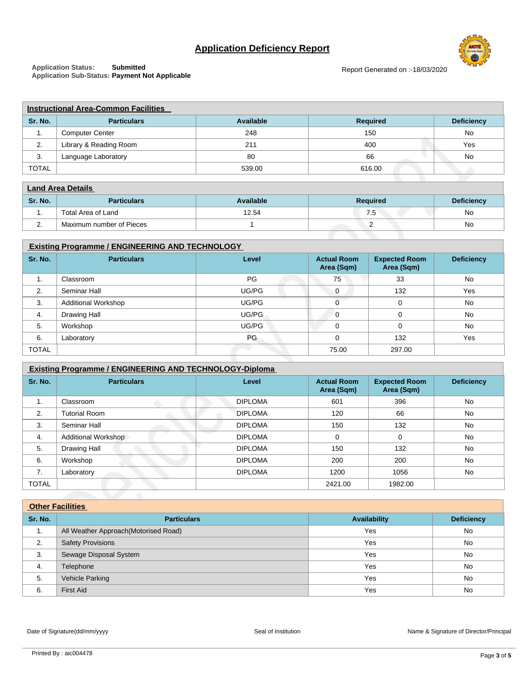# **Application Deficiency Report**



**Application Status: Submitted Application Sub-Status: Payment Not Applicable**

| <b>Instructional Area-Common Facilities</b> |                        |           |                 |                   |  |
|---------------------------------------------|------------------------|-----------|-----------------|-------------------|--|
| Sr. No.                                     | <b>Particulars</b>     | Available | <b>Required</b> | <b>Deficiency</b> |  |
| . .                                         | <b>Computer Center</b> | 248       | 150             | No                |  |
| z.                                          | Library & Reading Room | 211       | 400             | Yes               |  |
| 3.                                          | Language Laboratory    | 80        | 66              | No                |  |
| <b>TOTAL</b>                                |                        | 539.00    | 616.00          |                   |  |

| <b>Land Area Details</b> |                          |                  |                 |                   |  |
|--------------------------|--------------------------|------------------|-----------------|-------------------|--|
| Sr. No.                  | <b>Particulars</b>       | <b>Available</b> | <b>Required</b> | <b>Deficiency</b> |  |
| . .                      | Total Area of Land       | 12.54            | 7.5             | No                |  |
| <u>.</u>                 | Maximum number of Pieces |                  |                 | No                |  |

| <b>Existing Programme / ENGINEERING AND TECHNOLOGY</b> |                            |       |                                  |                                    |                   |
|--------------------------------------------------------|----------------------------|-------|----------------------------------|------------------------------------|-------------------|
| Sr. No.                                                | <b>Particulars</b>         | Level | <b>Actual Room</b><br>Area (Sqm) | <b>Expected Room</b><br>Area (Sqm) | <b>Deficiency</b> |
| 1.                                                     | Classroom                  | PG    | 75                               | 33                                 | <b>No</b>         |
| 2.                                                     | Seminar Hall               | UG/PG | $\Omega$                         | 132                                | Yes               |
| 3.                                                     | <b>Additional Workshop</b> | UG/PG |                                  | 0                                  | No                |
| 4.                                                     | Drawing Hall               | UG/PG | $\Omega$                         | $\Omega$                           | <b>No</b>         |
| 5.                                                     | Workshop                   | UG/PG | $\Omega$                         | $\Omega$                           | No                |
| 6.                                                     | Laboratory                 | PG    | $\Omega$                         | 132                                | Yes               |
| <b>TOTAL</b>                                           |                            |       | 75.00                            | 297.00                             |                   |

| 2.                                                             | Library & Reading Room                                 | 211              |                                  | 400                                |                   |  |
|----------------------------------------------------------------|--------------------------------------------------------|------------------|----------------------------------|------------------------------------|-------------------|--|
| 3.                                                             | Language Laboratory                                    | 80               |                                  | 66                                 |                   |  |
| <b>TOTAL</b>                                                   |                                                        | 539.00           |                                  | 616.00                             |                   |  |
|                                                                |                                                        |                  |                                  |                                    |                   |  |
| <b>Land Area Details</b>                                       |                                                        |                  |                                  |                                    |                   |  |
| Sr. No.                                                        | <b>Particulars</b>                                     | <b>Available</b> |                                  | <b>Required</b>                    |                   |  |
| 1.                                                             | Total Area of Land                                     | 12.54            |                                  | 7.5                                |                   |  |
| 2.                                                             | Maximum number of Pieces                               | $\mathbf{1}$     |                                  | 2                                  |                   |  |
|                                                                |                                                        |                  |                                  |                                    |                   |  |
|                                                                | <b>Existing Programme / ENGINEERING AND TECHNOLOGY</b> |                  |                                  |                                    |                   |  |
| Sr. No.                                                        | <b>Particulars</b>                                     | Level            | <b>Actual Room</b><br>Area (Sqm) | <b>Expected Room</b><br>Area (Sqm) | <b>Deficiency</b> |  |
| 1.                                                             | Classroom                                              | PG               | 75                               | 33                                 | <b>No</b>         |  |
| 2.                                                             | Seminar Hall                                           | UG/PG            | $\mathbf 0$                      | 132                                | Yes               |  |
| 3.                                                             | <b>Additional Workshop</b>                             | UG/PG            | $\mathbf 0$                      | 0                                  | No                |  |
| 4.                                                             | Drawing Hall                                           | UG/PG            | $\overline{0}$                   | $\mathbf 0$                        | <b>No</b>         |  |
| 5.                                                             | Workshop                                               | UG/PG            | $\mathbf 0$                      | $\mathbf 0$                        | <b>No</b>         |  |
| 6.                                                             | Laboratory                                             | PG               | $\mathbf 0$                      | 132                                | Yes               |  |
| <b>TOTAL</b>                                                   |                                                        |                  | 75.00                            | 297.00                             |                   |  |
| <b>Existing Programme / ENGINEERING AND TECHNOLOGY-Diploma</b> |                                                        |                  |                                  |                                    |                   |  |
| Sr. No.                                                        | <b>Particulars</b>                                     | Level            | <b>Actual Room</b><br>Area (Sqm) | <b>Expected Room</b><br>Area (Sqm) | <b>Deficiency</b> |  |
| 1.                                                             | Classroom                                              | <b>DIPLOMA</b>   | 601                              | 396                                | <b>No</b>         |  |
| 2.                                                             | <b>Tutorial Room</b>                                   | <b>DIPLOMA</b>   | 120                              | 66                                 | <b>No</b>         |  |
| 3.                                                             | Seminar Hall                                           | <b>DIPLOMA</b>   | 150                              | 132                                | <b>No</b>         |  |
| 4.                                                             | <b>Additional Workshop</b>                             | <b>DIPLOMA</b>   | $\mathbf 0$                      | $\mathbf 0$                        | <b>No</b>         |  |
| 5.                                                             | Drawing Hall                                           | <b>DIPLOMA</b>   | 150                              | 132                                | No                |  |
| 6.                                                             | Workshop                                               | <b>DIPLOMA</b>   | 200                              | 200                                | <b>No</b>         |  |
| 7.                                                             | Laboratory                                             | <b>DIPLOMA</b>   | 1200                             | 1056                               | No                |  |
| <b>TOTAL</b>                                                   |                                                        |                  | 2421.00                          | 1982.00                            |                   |  |
|                                                                |                                                        |                  |                                  |                                    |                   |  |
|                                                                | <b>Other Facilities</b>                                |                  |                                  |                                    |                   |  |
| Sr. No.                                                        | <b>Particulars</b>                                     |                  |                                  | <b>Availability</b>                |                   |  |
| 1.                                                             | All Weather Approach(Motorised Road)                   |                  |                                  | Yes                                |                   |  |
| 2.                                                             | <b>Safety Provisions</b>                               |                  |                                  | Yes                                | <b>No</b>         |  |
|                                                                |                                                        |                  |                                  |                                    |                   |  |

| <b>Other Facilities</b> |                                       |              |                   |  |
|-------------------------|---------------------------------------|--------------|-------------------|--|
| Sr. No.                 | <b>Particulars</b>                    | Availability | <b>Deficiency</b> |  |
| 1.                      | All Weather Approach (Motorised Road) | Yes          | No                |  |
| 2.                      | <b>Safety Provisions</b>              | Yes          | No                |  |
| 3.                      | Sewage Disposal System                | Yes          | No                |  |
| 4.                      | Telephone                             | Yes          | <b>No</b>         |  |
| 5.                      | Vehicle Parking                       | Yes          | No                |  |
| 6.                      | <b>First Aid</b>                      | Yes          | No                |  |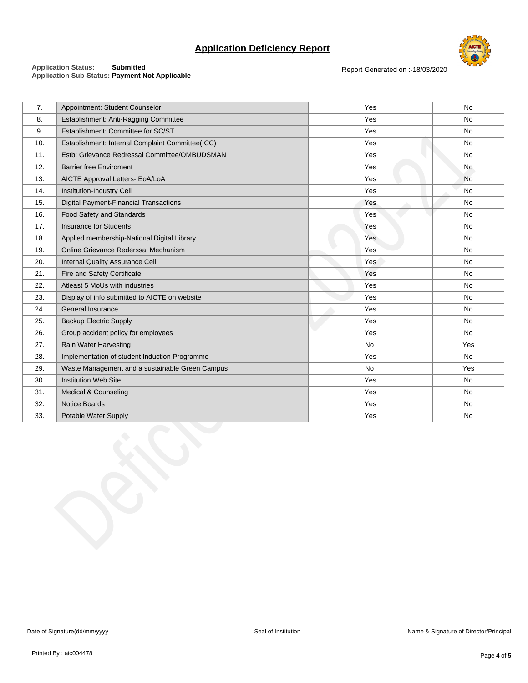# **Application Deficiency Report**



Report Generated on :-18/03/2020

#### **Application Status: Submitted Application Sub-Status: Payment Not Applicable**

| 7.  | Appointment: Student Counselor                   | Yes       | No  |
|-----|--------------------------------------------------|-----------|-----|
| 8.  | Establishment: Anti-Ragging Committee            | Yes       | No  |
| 9.  | Establishment: Committee for SC/ST               | Yes       | No  |
| 10. | Establishment: Internal Complaint Committee(ICC) | Yes       | No  |
| 11. | Estb: Grievance Redressal Committee/OMBUDSMAN    | Yes       | No  |
| 12. | <b>Barrier free Enviroment</b>                   | Yes       | No  |
| 13. | AICTE Approval Letters- EoA/LoA                  | Yes       | No  |
| 14. | Institution-Industry Cell                        | Yes       | No  |
| 15. | <b>Digital Payment-Financial Transactions</b>    | Yes       | No  |
| 16. | Food Safety and Standards                        | Yes       | No  |
| 17. | <b>Insurance for Students</b>                    | Yes       | No  |
| 18. | Applied membership-National Digital Library      | Yes       | No  |
| 19. | Online Grievance Rederssal Mechanism             | Yes       | No  |
| 20. | Internal Quality Assurance Cell                  | Yes       | No  |
| 21. | Fire and Safety Certificate                      | Yes       | No  |
| 22. | Atleast 5 MoUs with industries                   | Yes       | No  |
| 23. | Display of info submitted to AICTE on website    | Yes       | No  |
| 24. | General Insurance                                | Yes       | No  |
| 25. | <b>Backup Electric Supply</b>                    | Yes       | No  |
| 26. | Group accident policy for employees              | J.<br>Yes | No  |
| 27. | Rain Water Harvesting                            | No        | Yes |
| 28. | Implementation of student Induction Programme    | Yes       | No  |
| 29. | Waste Management and a sustainable Green Campus  | No        | Yes |
| 30. | <b>Institution Web Site</b>                      | Yes       | No  |
| 31. | Medical & Counseling                             | Yes       | No  |
| 32. | Notice Boards                                    | Yes       | No  |
| 33. | Potable Water Supply                             | Yes       | No  |
|     |                                                  |           |     |